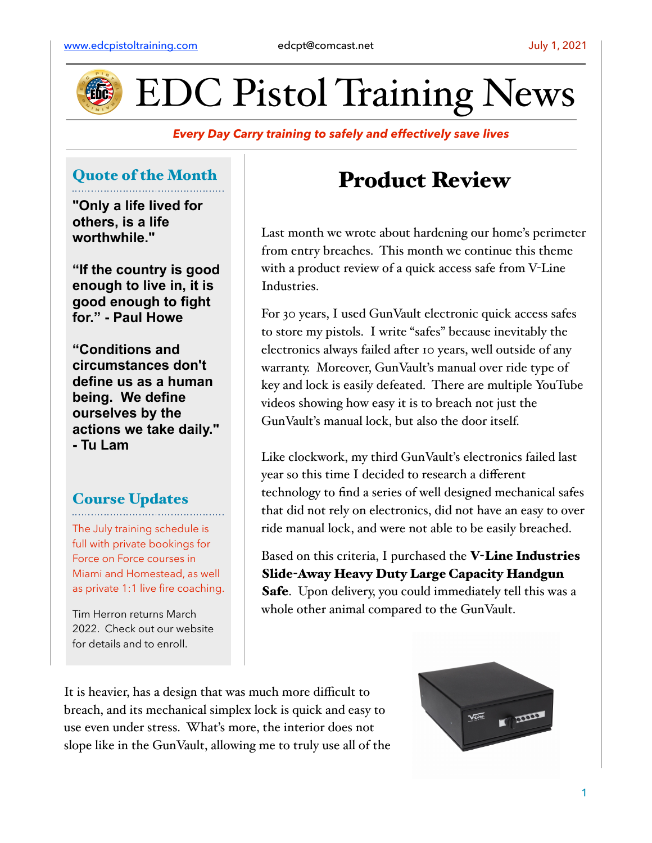

EDC Pistol Training News

## *Every Day Carry training to safely and effectively save lives*

## Quote of the Month

**"Only a life lived for others, is a life worthwhile."**

**"If the country is good enough to live in, it is good enough to fight for." - Paul Howe**

**"Conditions and circumstances don't define us as a human being. We define ourselves by the actions we take daily." - Tu Lam**

## Course Updates

The July training schedule is full with private bookings for Force on Force courses in Miami and Homestead, as well as private 1:1 live fire coaching.

Tim Herron returns March 2022. Check out our website for details and to enroll.

## Product Review

Last month we wrote about hardening our home's perimeter from entry breaches. This month we continue this theme with a product review of a quick access safe from V-Line Industries.

For 30 years, I used GunVault electronic quick access safes to store my pistols. I write "safes" because inevitably the electronics always failed after 10 years, well outside of any warranty. Moreover, GunVault's manual over ride type of key and lock is easily defeated. There are multiple YouTube videos showing how easy it is to breach not just the GunVault's manual lock, but also the door itself.

Like clockwork, my third GunVault's electronics failed last year so this time I decided to research a different technology to find a series of well designed mechanical safes that did not rely on electronics, did not have an easy to over ride manual lock, and were not able to be easily breached.

Based on this criteria, I purchased the V-Line Industries Slide-Away Heavy Duty Large Capacity Handgun Safe. Upon delivery, you could immediately tell this was a whole other animal compared to the GunVault.

It is heavier, has a design that was much more difficult to breach, and its mechanical simplex lock is quick and easy to use even under stress. What's more, the interior does not slope like in the GunVault, allowing me to truly use all of the